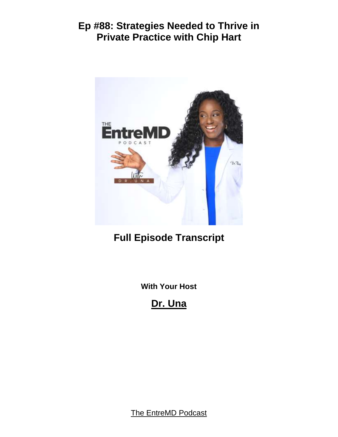

# **Full Episode Transcript**

**With Your Host**

**Dr. Una**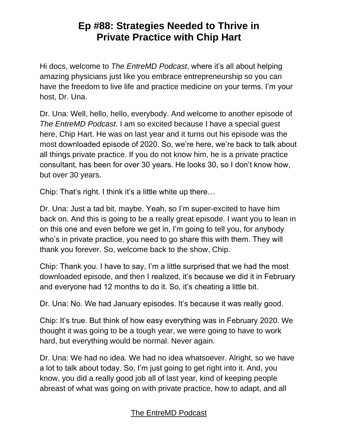Hi docs, welcome to *The EntreMD Podcast*, where it's all about helping amazing physicians just like you embrace entrepreneurship so you can have the freedom to live life and practice medicine on your terms. I'm your host, Dr. Una.

Dr. Una: Well, hello, hello, everybody. And welcome to another episode of *The EntreMD Podcast*. I am so excited because I have a special guest here, Chip Hart. He was on last year and it turns out his episode was the most downloaded episode of 2020. So, we're here, we're back to talk about all things private practice. If you do not know him, he is a private practice consultant, has been for over 30 years. He looks 30, so I don't know how, but over 30 years.

Chip: That's right. I think it's a little white up there…

Dr. Una: Just a tad bit, maybe. Yeah, so I'm super-excited to have him back on. And this is going to be a really great episode. I want you to lean in on this one and even before we get in, I'm going to tell you, for anybody who's in private practice, you need to go share this with them. They will thank you forever. So, welcome back to the show, Chip.

Chip: Thank you. I have to say, I'm a little surprised that we had the most downloaded episode, and then I realized, it's because we did it in February and everyone had 12 months to do it. So, it's cheating a little bit.

Dr. Una: No. We had January episodes. It's because it was really good.

Chip: It's true. But think of how easy everything was in February 2020. We thought it was going to be a tough year, we were going to have to work hard, but everything would be normal. Never again.

Dr. Una: We had no idea. We had no idea whatsoever. Alright, so we have a lot to talk about today. So, I'm just going to get right into it. And, you know, you did a really good job all of last year, kind of keeping people abreast of what was going on with private practice, how to adapt, and all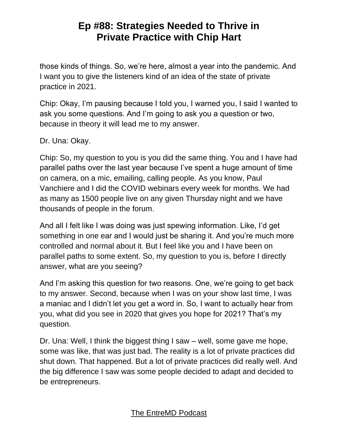those kinds of things. So, we're here, almost a year into the pandemic. And I want you to give the listeners kind of an idea of the state of private practice in 2021.

Chip: Okay, I'm pausing because I told you, I warned you, I said I wanted to ask you some questions. And I'm going to ask you a question or two, because in theory it will lead me to my answer.

Dr. Una: Okay.

Chip: So, my question to you is you did the same thing. You and I have had parallel paths over the last year because I've spent a huge amount of time on camera, on a mic, emailing, calling people. As you know, Paul Vanchiere and I did the COVID webinars every week for months. We had as many as 1500 people live on any given Thursday night and we have thousands of people in the forum.

And all I felt like I was doing was just spewing information. Like, I'd get something in one ear and I would just be sharing it. And you're much more controlled and normal about it. But I feel like you and I have been on parallel paths to some extent. So, my question to you is, before I directly answer, what are you seeing?

And I'm asking this question for two reasons. One, we're going to get back to my answer. Second, because when I was on your show last time, I was a maniac and I didn't let you get a word in. So, I want to actually hear from you, what did you see in 2020 that gives you hope for 2021? That's my question.

Dr. Una: Well, I think the biggest thing I saw – well, some gave me hope, some was like, that was just bad. The reality is a lot of private practices did shut down. That happened. But a lot of private practices did really well. And the big difference I saw was some people decided to adapt and decided to be entrepreneurs.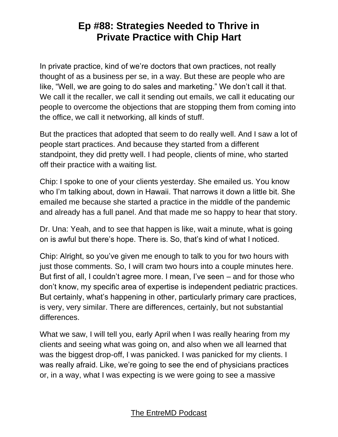In private practice, kind of we're doctors that own practices, not really thought of as a business per se, in a way. But these are people who are like, "Well, we are going to do sales and marketing." We don't call it that. We call it the recaller, we call it sending out emails, we call it educating our people to overcome the objections that are stopping them from coming into the office, we call it networking, all kinds of stuff.

But the practices that adopted that seem to do really well. And I saw a lot of people start practices. And because they started from a different standpoint, they did pretty well. I had people, clients of mine, who started off their practice with a waiting list.

Chip: I spoke to one of your clients yesterday. She emailed us. You know who I'm talking about, down in Hawaii. That narrows it down a little bit. She emailed me because she started a practice in the middle of the pandemic and already has a full panel. And that made me so happy to hear that story.

Dr. Una: Yeah, and to see that happen is like, wait a minute, what is going on is awful but there's hope. There is. So, that's kind of what I noticed.

Chip: Alright, so you've given me enough to talk to you for two hours with just those comments. So, I will cram two hours into a couple minutes here. But first of all, I couldn't agree more. I mean, I've seen – and for those who don't know, my specific area of expertise is independent pediatric practices. But certainly, what's happening in other, particularly primary care practices, is very, very similar. There are differences, certainly, but not substantial differences.

What we saw, I will tell you, early April when I was really hearing from my clients and seeing what was going on, and also when we all learned that was the biggest drop-off, I was panicked. I was panicked for my clients. I was really afraid. Like, we're going to see the end of physicians practices or, in a way, what I was expecting is we were going to see a massive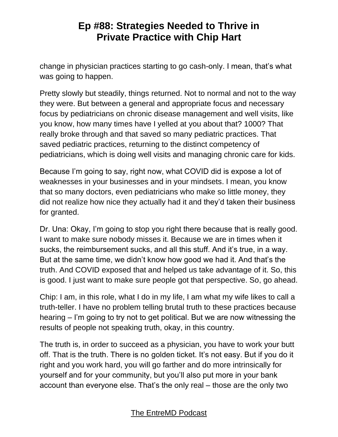change in physician practices starting to go cash-only. I mean, that's what was going to happen.

Pretty slowly but steadily, things returned. Not to normal and not to the way they were. But between a general and appropriate focus and necessary focus by pediatricians on chronic disease management and well visits, like you know, how many times have I yelled at you about that? 1000? That really broke through and that saved so many pediatric practices. That saved pediatric practices, returning to the distinct competency of pediatricians, which is doing well visits and managing chronic care for kids.

Because I'm going to say, right now, what COVID did is expose a lot of weaknesses in your businesses and in your mindsets. I mean, you know that so many doctors, even pediatricians who make so little money, they did not realize how nice they actually had it and they'd taken their business for granted.

Dr. Una: Okay, I'm going to stop you right there because that is really good. I want to make sure nobody misses it. Because we are in times when it sucks, the reimbursement sucks, and all this stuff. And it's true, in a way. But at the same time, we didn't know how good we had it. And that's the truth. And COVID exposed that and helped us take advantage of it. So, this is good. I just want to make sure people got that perspective. So, go ahead.

Chip: I am, in this role, what I do in my life, I am what my wife likes to call a truth-teller. I have no problem telling brutal truth to these practices because hearing – I'm going to try not to get political. But we are now witnessing the results of people not speaking truth, okay, in this country.

The truth is, in order to succeed as a physician, you have to work your butt off. That is the truth. There is no golden ticket. It's not easy. But if you do it right and you work hard, you will go farther and do more intrinsically for yourself and for your community, but you'll also put more in your bank account than everyone else. That's the only real – those are the only two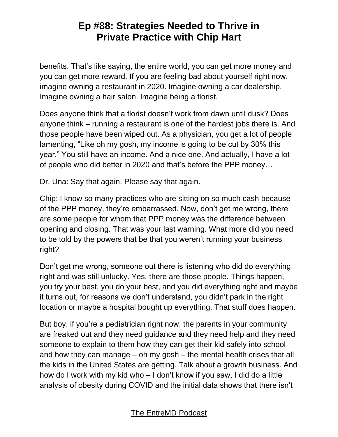benefits. That's like saying, the entire world, you can get more money and you can get more reward. If you are feeling bad about yourself right now, imagine owning a restaurant in 2020. Imagine owning a car dealership. Imagine owning a hair salon. Imagine being a florist.

Does anyone think that a florist doesn't work from dawn until dusk? Does anyone think – running a restaurant is one of the hardest jobs there is. And those people have been wiped out. As a physician, you get a lot of people lamenting, "Like oh my gosh, my income is going to be cut by 30% this year." You still have an income. And a nice one. And actually, I have a lot of people who did better in 2020 and that's before the PPP money…

Dr. Una: Say that again. Please say that again.

Chip: I know so many practices who are sitting on so much cash because of the PPP money, they're embarrassed. Now, don't get me wrong, there are some people for whom that PPP money was the difference between opening and closing. That was your last warning. What more did you need to be told by the powers that be that you weren't running your business right?

Don't get me wrong, someone out there is listening who did do everything right and was still unlucky. Yes, there are those people. Things happen, you try your best, you do your best, and you did everything right and maybe it turns out, for reasons we don't understand, you didn't park in the right location or maybe a hospital bought up everything. That stuff does happen.

But boy, if you're a pediatrician right now, the parents in your community are freaked out and they need guidance and they need help and they need someone to explain to them how they can get their kid safely into school and how they can manage – oh my gosh – the mental health crises that all the kids in the United States are getting. Talk about a growth business. And how do I work with my kid who – I don't know if you saw, I did do a little analysis of obesity during COVID and the initial data shows that there isn't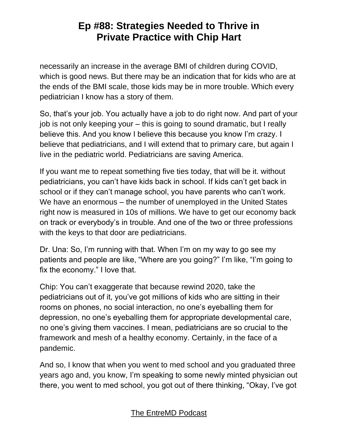necessarily an increase in the average BMI of children during COVID, which is good news. But there may be an indication that for kids who are at the ends of the BMI scale, those kids may be in more trouble. Which every pediatrician I know has a story of them.

So, that's your job. You actually have a job to do right now. And part of your job is not only keeping your – this is going to sound dramatic, but I really believe this. And you know I believe this because you know I'm crazy. I believe that pediatricians, and I will extend that to primary care, but again I live in the pediatric world. Pediatricians are saving America.

If you want me to repeat something five ties today, that will be it. without pediatricians, you can't have kids back in school. If kids can't get back in school or if they can't manage school, you have parents who can't work. We have an enormous – the number of unemployed in the United States right now is measured in 10s of millions. We have to get our economy back on track or everybody's in trouble. And one of the two or three professions with the keys to that door are pediatricians.

Dr. Una: So, I'm running with that. When I'm on my way to go see my patients and people are like, "Where are you going?" I'm like, "I'm going to fix the economy." I love that.

Chip: You can't exaggerate that because rewind 2020, take the pediatricians out of it, you've got millions of kids who are sitting in their rooms on phones, no social interaction, no one's eyeballing them for depression, no one's eyeballing them for appropriate developmental care, no one's giving them vaccines. I mean, pediatricians are so crucial to the framework and mesh of a healthy economy. Certainly, in the face of a pandemic.

And so, I know that when you went to med school and you graduated three years ago and, you know, I'm speaking to some newly minted physician out there, you went to med school, you got out of there thinking, "Okay, I've got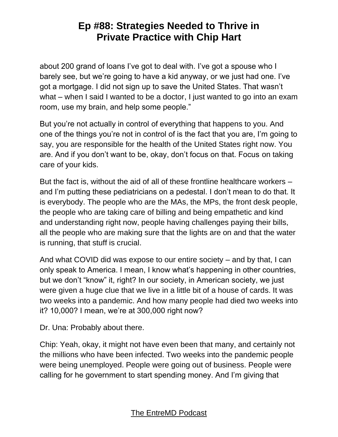about 200 grand of loans I've got to deal with. I've got a spouse who I barely see, but we're going to have a kid anyway, or we just had one. I've got a mortgage. I did not sign up to save the United States. That wasn't what – when I said I wanted to be a doctor, I just wanted to go into an exam room, use my brain, and help some people."

But you're not actually in control of everything that happens to you. And one of the things you're not in control of is the fact that you are, I'm going to say, you are responsible for the health of the United States right now. You are. And if you don't want to be, okay, don't focus on that. Focus on taking care of your kids.

But the fact is, without the aid of all of these frontline healthcare workers – and I'm putting these pediatricians on a pedestal. I don't mean to do that. It is everybody. The people who are the MAs, the MPs, the front desk people, the people who are taking care of billing and being empathetic and kind and understanding right now, people having challenges paying their bills, all the people who are making sure that the lights are on and that the water is running, that stuff is crucial.

And what COVID did was expose to our entire society – and by that, I can only speak to America. I mean, I know what's happening in other countries, but we don't "know" it, right? In our society, in American society, we just were given a huge clue that we live in a little bit of a house of cards. It was two weeks into a pandemic. And how many people had died two weeks into it? 10,000? I mean, we're at 300,000 right now?

Dr. Una: Probably about there.

Chip: Yeah, okay, it might not have even been that many, and certainly not the millions who have been infected. Two weeks into the pandemic people were being unemployed. People were going out of business. People were calling for he government to start spending money. And I'm giving that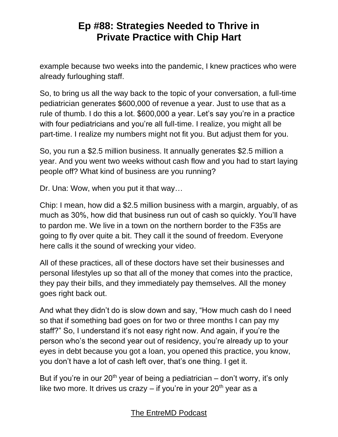example because two weeks into the pandemic, I knew practices who were already furloughing staff.

So, to bring us all the way back to the topic of your conversation, a full-time pediatrician generates \$600,000 of revenue a year. Just to use that as a rule of thumb. I do this a lot. \$600,000 a year. Let's say you're in a practice with four pediatricians and you're all full-time. I realize, you might all be part-time. I realize my numbers might not fit you. But adjust them for you.

So, you run a \$2.5 million business. It annually generates \$2.5 million a year. And you went two weeks without cash flow and you had to start laying people off? What kind of business are you running?

Dr. Una: Wow, when you put it that way…

Chip: I mean, how did a \$2.5 million business with a margin, arguably, of as much as 30%, how did that business run out of cash so quickly. You'll have to pardon me. We live in a town on the northern border to the F35s are going to fly over quite a bit. They call it the sound of freedom. Everyone here calls it the sound of wrecking your video.

All of these practices, all of these doctors have set their businesses and personal lifestyles up so that all of the money that comes into the practice, they pay their bills, and they immediately pay themselves. All the money goes right back out.

And what they didn't do is slow down and say, "How much cash do I need so that if something bad goes on for two or three months I can pay my staff?" So, I understand it's not easy right now. And again, if you're the person who's the second year out of residency, you're already up to your eyes in debt because you got a loan, you opened this practice, you know, you don't have a lot of cash left over, that's one thing. I get it.

But if you're in our  $20<sup>th</sup>$  year of being a pediatrician – don't worry, it's only like two more. It drives us crazy  $-$  if you're in your 20<sup>th</sup> year as a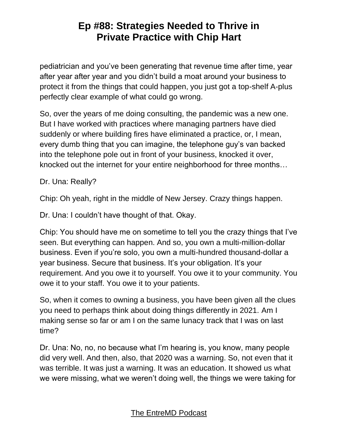pediatrician and you've been generating that revenue time after time, year after year after year and you didn't build a moat around your business to protect it from the things that could happen, you just got a top-shelf A-plus perfectly clear example of what could go wrong.

So, over the years of me doing consulting, the pandemic was a new one. But I have worked with practices where managing partners have died suddenly or where building fires have eliminated a practice, or, I mean, every dumb thing that you can imagine, the telephone guy's van backed into the telephone pole out in front of your business, knocked it over, knocked out the internet for your entire neighborhood for three months…

Dr. Una: Really?

Chip: Oh yeah, right in the middle of New Jersey. Crazy things happen.

Dr. Una: I couldn't have thought of that. Okay.

Chip: You should have me on sometime to tell you the crazy things that I've seen. But everything can happen. And so, you own a multi-million-dollar business. Even if you're solo, you own a multi-hundred thousand-dollar a year business. Secure that business. It's your obligation. It's your requirement. And you owe it to yourself. You owe it to your community. You owe it to your staff. You owe it to your patients.

So, when it comes to owning a business, you have been given all the clues you need to perhaps think about doing things differently in 2021. Am I making sense so far or am I on the same lunacy track that I was on last time?

Dr. Una: No, no, no because what I'm hearing is, you know, many people did very well. And then, also, that 2020 was a warning. So, not even that it was terrible. It was just a warning. It was an education. It showed us what we were missing, what we weren't doing well, the things we were taking for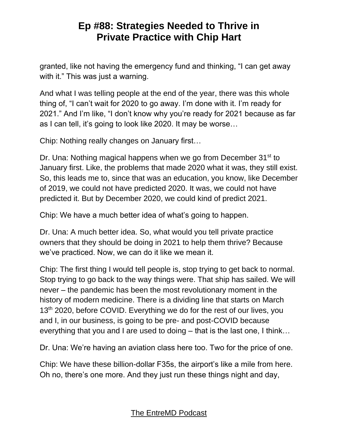granted, like not having the emergency fund and thinking, "I can get away with it." This was just a warning.

And what I was telling people at the end of the year, there was this whole thing of, "I can't wait for 2020 to go away. I'm done with it. I'm ready for 2021." And I'm like, "I don't know why you're ready for 2021 because as far as I can tell, it's going to look like 2020. It may be worse…

Chip: Nothing really changes on January first…

Dr. Una: Nothing magical happens when we go from December 31<sup>st</sup> to January first. Like, the problems that made 2020 what it was, they still exist. So, this leads me to, since that was an education, you know, like December of 2019, we could not have predicted 2020. It was, we could not have predicted it. But by December 2020, we could kind of predict 2021.

Chip: We have a much better idea of what's going to happen.

Dr. Una: A much better idea. So, what would you tell private practice owners that they should be doing in 2021 to help them thrive? Because we've practiced. Now, we can do it like we mean it.

Chip: The first thing I would tell people is, stop trying to get back to normal. Stop trying to go back to the way things were. That ship has sailed. We will never – the pandemic has been the most revolutionary moment in the history of modern medicine. There is a dividing line that starts on March 13<sup>th</sup> 2020, before COVID. Everything we do for the rest of our lives, you and I, in our business, is going to be pre- and post-COVID because everything that you and I are used to doing – that is the last one, I think…

Dr. Una: We're having an aviation class here too. Two for the price of one.

Chip: We have these billion-dollar F35s, the airport's like a mile from here. Oh no, there's one more. And they just run these things night and day,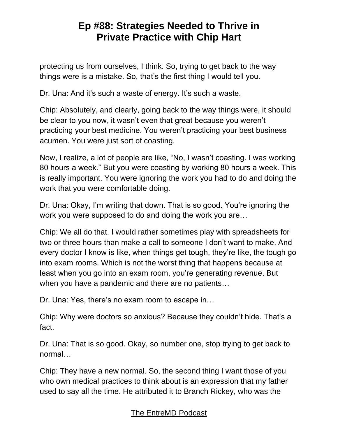protecting us from ourselves, I think. So, trying to get back to the way things were is a mistake. So, that's the first thing I would tell you.

Dr. Una: And it's such a waste of energy. It's such a waste.

Chip: Absolutely, and clearly, going back to the way things were, it should be clear to you now, it wasn't even that great because you weren't practicing your best medicine. You weren't practicing your best business acumen. You were just sort of coasting.

Now, I realize, a lot of people are like, "No, I wasn't coasting. I was working 80 hours a week." But you were coasting by working 80 hours a week. This is really important. You were ignoring the work you had to do and doing the work that you were comfortable doing.

Dr. Una: Okay, I'm writing that down. That is so good. You're ignoring the work you were supposed to do and doing the work you are…

Chip: We all do that. I would rather sometimes play with spreadsheets for two or three hours than make a call to someone I don't want to make. And every doctor I know is like, when things get tough, they're like, the tough go into exam rooms. Which is not the worst thing that happens because at least when you go into an exam room, you're generating revenue. But when you have a pandemic and there are no patients…

Dr. Una: Yes, there's no exam room to escape in…

Chip: Why were doctors so anxious? Because they couldn't hide. That's a fact.

Dr. Una: That is so good. Okay, so number one, stop trying to get back to normal…

Chip: They have a new normal. So, the second thing I want those of you who own medical practices to think about is an expression that my father used to say all the time. He attributed it to Branch Rickey, who was the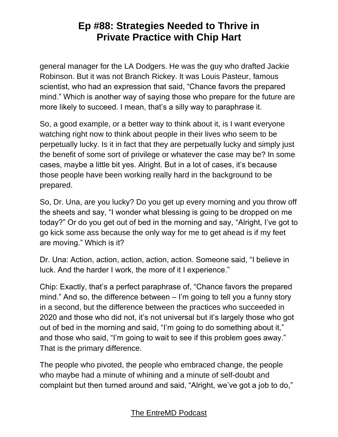general manager for the LA Dodgers. He was the guy who drafted Jackie Robinson. But it was not Branch Rickey. It was Louis Pasteur, famous scientist, who had an expression that said, "Chance favors the prepared mind." Which is another way of saying those who prepare for the future are more likely to succeed. I mean, that's a silly way to paraphrase it.

So, a good example, or a better way to think about it, is I want everyone watching right now to think about people in their lives who seem to be perpetually lucky. Is it in fact that they are perpetually lucky and simply just the benefit of some sort of privilege or whatever the case may be? In some cases, maybe a little bit yes. Alright. But in a lot of cases, it's because those people have been working really hard in the background to be prepared.

So, Dr. Una, are you lucky? Do you get up every morning and you throw off the sheets and say, "I wonder what blessing is going to be dropped on me today?" Or do you get out of bed in the morning and say, "Alright, I've got to go kick some ass because the only way for me to get ahead is if my feet are moving." Which is it?

Dr. Una: Action, action, action, action, action. Someone said, "I believe in luck. And the harder I work, the more of it I experience."

Chip: Exactly, that's a perfect paraphrase of, "Chance favors the prepared mind." And so, the difference between – I'm going to tell you a funny story in a second, but the difference between the practices who succeeded in 2020 and those who did not, it's not universal but it's largely those who got out of bed in the morning and said, "I'm going to do something about it," and those who said, "I'm going to wait to see if this problem goes away." That is the primary difference.

The people who pivoted, the people who embraced change, the people who maybe had a minute of whining and a minute of self-doubt and complaint but then turned around and said, "Alright, we've got a job to do,"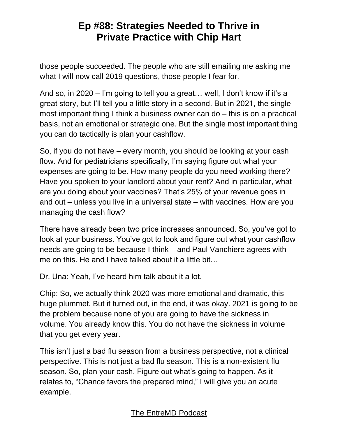those people succeeded. The people who are still emailing me asking me what I will now call 2019 questions, those people I fear for.

And so, in 2020 – I'm going to tell you a great… well, I don't know if it's a great story, but I'll tell you a little story in a second. But in 2021, the single most important thing I think a business owner can do – this is on a practical basis, not an emotional or strategic one. But the single most important thing you can do tactically is plan your cashflow.

So, if you do not have – every month, you should be looking at your cash flow. And for pediatricians specifically, I'm saying figure out what your expenses are going to be. How many people do you need working there? Have you spoken to your landlord about your rent? And in particular, what are you doing about your vaccines? That's 25% of your revenue goes in and out – unless you live in a universal state – with vaccines. How are you managing the cash flow?

There have already been two price increases announced. So, you've got to look at your business. You've got to look and figure out what your cashflow needs are going to be because I think – and Paul Vanchiere agrees with me on this. He and I have talked about it a little bit…

Dr. Una: Yeah, I've heard him talk about it a lot.

Chip: So, we actually think 2020 was more emotional and dramatic, this huge plummet. But it turned out, in the end, it was okay. 2021 is going to be the problem because none of you are going to have the sickness in volume. You already know this. You do not have the sickness in volume that you get every year.

This isn't just a bad flu season from a business perspective, not a clinical perspective. This is not just a bad flu season. This is a non-existent flu season. So, plan your cash. Figure out what's going to happen. As it relates to, "Chance favors the prepared mind," I will give you an acute example.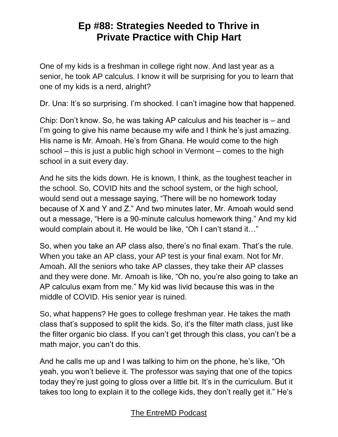One of my kids is a freshman in college right now. And last year as a senior, he took AP calculus. I know it will be surprising for you to learn that one of my kids is a nerd, alright?

Dr. Una: It's so surprising. I'm shocked. I can't imagine how that happened.

Chip: Don't know. So, he was taking AP calculus and his teacher is – and I'm going to give his name because my wife and I think he's just amazing. His name is Mr. Amoah. He's from Ghana. He would come to the high school – this is just a public high school in Vermont – comes to the high school in a suit every day.

And he sits the kids down. He is known, I think, as the toughest teacher in the school. So, COVID hits and the school system, or the high school, would send out a message saying, "There will be no homework today because of X and Y and Z." And two minutes later, Mr. Amoah would send out a message, "Here is a 90-minute calculus homework thing." And my kid would complain about it. He would be like, "Oh I can't stand it…"

So, when you take an AP class also, there's no final exam. That's the rule. When you take an AP class, your AP test is your final exam. Not for Mr. Amoah. All the seniors who take AP classes, they take their AP classes and they were done. Mr. Amoah is like, "Oh no, you're also going to take an AP calculus exam from me." My kid was livid because this was in the middle of COVID. His senior year is ruined.

So, what happens? He goes to college freshman year. He takes the math class that's supposed to split the kids. So, it's the filter math class, just like the filter organic bio class. If you can't get through this class, you can't be a math major, you can't do this.

And he calls me up and I was talking to him on the phone, he's like, "Oh yeah, you won't believe it. The professor was saying that one of the topics today they're just going to gloss over a little bit. It's in the curriculum. But it takes too long to explain it to the college kids, they don't really get it." He's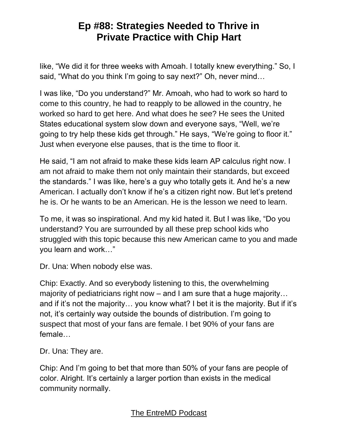like, "We did it for three weeks with Amoah. I totally knew everything." So, I said, "What do you think I'm going to say next?" Oh, never mind…

I was like, "Do you understand?" Mr. Amoah, who had to work so hard to come to this country, he had to reapply to be allowed in the country, he worked so hard to get here. And what does he see? He sees the United States educational system slow down and everyone says, "Well, we're going to try help these kids get through." He says, "We're going to floor it." Just when everyone else pauses, that is the time to floor it.

He said, "I am not afraid to make these kids learn AP calculus right now. I am not afraid to make them not only maintain their standards, but exceed the standards." I was like, here's a guy who totally gets it. And he's a new American. I actually don't know if he's a citizen right now. But let's pretend he is. Or he wants to be an American. He is the lesson we need to learn.

To me, it was so inspirational. And my kid hated it. But I was like, "Do you understand? You are surrounded by all these prep school kids who struggled with this topic because this new American came to you and made you learn and work…"

Dr. Una: When nobody else was.

Chip: Exactly. And so everybody listening to this, the overwhelming majority of pediatricians right now – and I am sure that a huge majority… and if it's not the majority… you know what? I bet it is the majority. But if it's not, it's certainly way outside the bounds of distribution. I'm going to suspect that most of your fans are female. I bet 90% of your fans are female…

Dr. Una: They are.

Chip: And I'm going to bet that more than 50% of your fans are people of color. Alright. It's certainly a larger portion than exists in the medical community normally.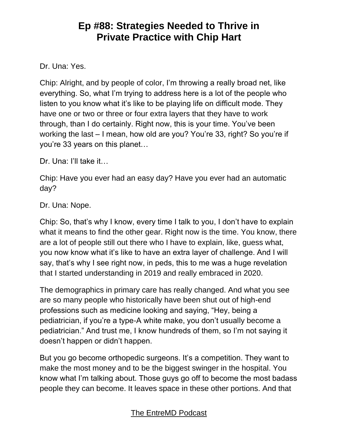#### Dr. Una: Yes.

Chip: Alright, and by people of color, I'm throwing a really broad net, like everything. So, what I'm trying to address here is a lot of the people who listen to you know what it's like to be playing life on difficult mode. They have one or two or three or four extra layers that they have to work through, than I do certainly. Right now, this is your time. You've been working the last – I mean, how old are you? You're 33, right? So you're if you're 33 years on this planet…

Dr. Una: I'll take it...

Chip: Have you ever had an easy day? Have you ever had an automatic day?

Dr. Una: Nope.

Chip: So, that's why I know, every time I talk to you, I don't have to explain what it means to find the other gear. Right now is the time. You know, there are a lot of people still out there who I have to explain, like, guess what, you now know what it's like to have an extra layer of challenge. And I will say, that's why I see right now, in peds, this to me was a huge revelation that I started understanding in 2019 and really embraced in 2020.

The demographics in primary care has really changed. And what you see are so many people who historically have been shut out of high-end professions such as medicine looking and saying, "Hey, being a pediatrician, if you're a type-A white make, you don't usually become a pediatrician." And trust me, I know hundreds of them, so I'm not saying it doesn't happen or didn't happen.

But you go become orthopedic surgeons. It's a competition. They want to make the most money and to be the biggest swinger in the hospital. You know what I'm talking about. Those guys go off to become the most badass people they can become. It leaves space in these other portions. And that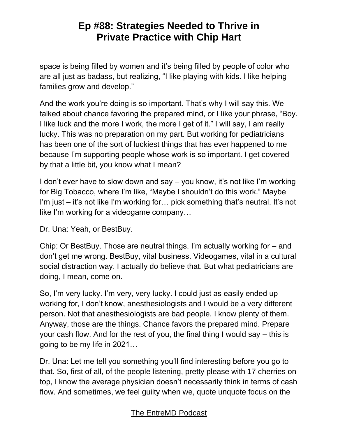space is being filled by women and it's being filled by people of color who are all just as badass, but realizing, "I like playing with kids. I like helping families grow and develop."

And the work you're doing is so important. That's why I will say this. We talked about chance favoring the prepared mind, or I like your phrase, "Boy. I like luck and the more I work, the more I get of it." I will say, I am really lucky. This was no preparation on my part. But working for pediatricians has been one of the sort of luckiest things that has ever happened to me because I'm supporting people whose work is so important. I get covered by that a little bit, you know what I mean?

I don't ever have to slow down and say – you know, it's not like I'm working for Big Tobacco, where I'm like, "Maybe I shouldn't do this work." Maybe I'm just – it's not like I'm working for… pick something that's neutral. It's not like I'm working for a videogame company…

Dr. Una: Yeah, or BestBuy.

Chip: Or BestBuy. Those are neutral things. I'm actually working for – and don't get me wrong. BestBuy, vital business. Videogames, vital in a cultural social distraction way. I actually do believe that. But what pediatricians are doing, I mean, come on.

So, I'm very lucky. I'm very, very lucky. I could just as easily ended up working for, I don't know, anesthesiologists and I would be a very different person. Not that anesthesiologists are bad people. I know plenty of them. Anyway, those are the things. Chance favors the prepared mind. Prepare your cash flow. And for the rest of you, the final thing I would say – this is going to be my life in 2021…

Dr. Una: Let me tell you something you'll find interesting before you go to that. So, first of all, of the people listening, pretty please with 17 cherries on top, I know the average physician doesn't necessarily think in terms of cash flow. And sometimes, we feel guilty when we, quote unquote focus on the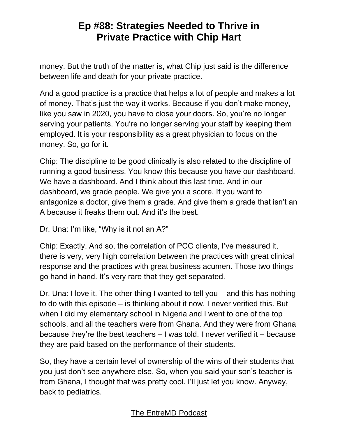money. But the truth of the matter is, what Chip just said is the difference between life and death for your private practice.

And a good practice is a practice that helps a lot of people and makes a lot of money. That's just the way it works. Because if you don't make money, like you saw in 2020, you have to close your doors. So, you're no longer serving your patients. You're no longer serving your staff by keeping them employed. It is your responsibility as a great physician to focus on the money. So, go for it.

Chip: The discipline to be good clinically is also related to the discipline of running a good business. You know this because you have our dashboard. We have a dashboard. And I think about this last time. And in our dashboard, we grade people. We give you a score. If you want to antagonize a doctor, give them a grade. And give them a grade that isn't an A because it freaks them out. And it's the best.

Dr. Una: I'm like, "Why is it not an A?"

Chip: Exactly. And so, the correlation of PCC clients, I've measured it, there is very, very high correlation between the practices with great clinical response and the practices with great business acumen. Those two things go hand in hand. It's very rare that they get separated.

Dr. Una: I love it. The other thing I wanted to tell you – and this has nothing to do with this episode – is thinking about it now, I never verified this. But when I did my elementary school in Nigeria and I went to one of the top schools, and all the teachers were from Ghana. And they were from Ghana because they're the best teachers – I was told. I never verified it – because they are paid based on the performance of their students.

So, they have a certain level of ownership of the wins of their students that you just don't see anywhere else. So, when you said your son's teacher is from Ghana, I thought that was pretty cool. I'll just let you know. Anyway, back to pediatrics.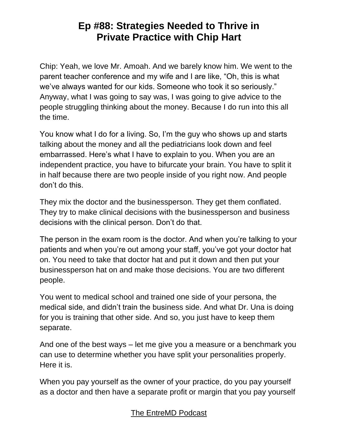Chip: Yeah, we love Mr. Amoah. And we barely know him. We went to the parent teacher conference and my wife and I are like, "Oh, this is what we've always wanted for our kids. Someone who took it so seriously." Anyway, what I was going to say was, I was going to give advice to the people struggling thinking about the money. Because I do run into this all the time.

You know what I do for a living. So, I'm the guy who shows up and starts talking about the money and all the pediatricians look down and feel embarrassed. Here's what I have to explain to you. When you are an independent practice, you have to bifurcate your brain. You have to split it in half because there are two people inside of you right now. And people don't do this.

They mix the doctor and the businessperson. They get them conflated. They try to make clinical decisions with the businessperson and business decisions with the clinical person. Don't do that.

The person in the exam room is the doctor. And when you're talking to your patients and when you're out among your staff, you've got your doctor hat on. You need to take that doctor hat and put it down and then put your businessperson hat on and make those decisions. You are two different people.

You went to medical school and trained one side of your persona, the medical side, and didn't train the business side. And what Dr. Una is doing for you is training that other side. And so, you just have to keep them separate.

And one of the best ways – let me give you a measure or a benchmark you can use to determine whether you have split your personalities properly. Here it is.

When you pay yourself as the owner of your practice, do you pay yourself as a doctor and then have a separate profit or margin that you pay yourself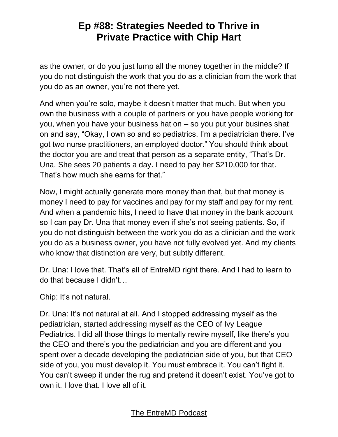as the owner, or do you just lump all the money together in the middle? If you do not distinguish the work that you do as a clinician from the work that you do as an owner, you're not there yet.

And when you're solo, maybe it doesn't matter that much. But when you own the business with a couple of partners or you have people working for you, when you have your business hat on – so you put your busines shat on and say, "Okay, I own so and so pediatrics. I'm a pediatrician there. I've got two nurse practitioners, an employed doctor." You should think about the doctor you are and treat that person as a separate entity, "That's Dr. Una. She sees 20 patients a day. I need to pay her \$210,000 for that. That's how much she earns for that."

Now, I might actually generate more money than that, but that money is money I need to pay for vaccines and pay for my staff and pay for my rent. And when a pandemic hits, I need to have that money in the bank account so I can pay Dr. Una that money even if she's not seeing patients. So, if you do not distinguish between the work you do as a clinician and the work you do as a business owner, you have not fully evolved yet. And my clients who know that distinction are very, but subtly different.

Dr. Una: I love that. That's all of EntreMD right there. And I had to learn to do that because I didn't…

Chip: It's not natural.

Dr. Una: It's not natural at all. And I stopped addressing myself as the pediatrician, started addressing myself as the CEO of Ivy League Pediatrics. I did all those things to mentally rewire myself, like there's you the CEO and there's you the pediatrician and you are different and you spent over a decade developing the pediatrician side of you, but that CEO side of you, you must develop it. You must embrace it. You can't fight it. You can't sweep it under the rug and pretend it doesn't exist. You've got to own it. I love that. I love all of it.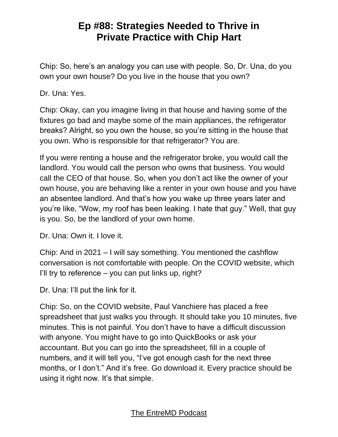Chip: So, here's an analogy you can use with people. So, Dr. Una, do you own your own house? Do you live in the house that you own?

Dr. Una: Yes.

Chip: Okay, can you imagine living in that house and having some of the fixtures go bad and maybe some of the main appliances, the refrigerator breaks? Alright, so you own the house, so you're sitting in the house that you own. Who is responsible for that refrigerator? You are.

If you were renting a house and the refrigerator broke, you would call the landlord. You would call the person who owns that business. You would call the CEO of that house. So, when you don't act like the owner of your own house, you are behaving like a renter in your own house and you have an absentee landlord. And that's how you wake up three years later and you're like, "Wow, my roof has been leaking. I hate that guy." Well, that guy is you. So, be the landlord of your own home.

Dr. Una: Own it. I love it.

Chip: And in 2021 – I will say something. You mentioned the cashflow conversation is not comfortable with people. On the COVID website, which I'll try to reference  $-$  you can put links up, right?

Dr. Una: I'll put the link for it.

Chip: So, on the COVID website, Paul Vanchiere has placed a free spreadsheet that just walks you through. It should take you 10 minutes, five minutes. This is not painful. You don't have to have a difficult discussion with anyone. You might have to go into QuickBooks or ask your accountant. But you can go into the spreadsheet, fill in a couple of numbers, and it will tell you, "I've got enough cash for the next three months, or I don't." And it's free. Go download it. Every practice should be using it right now. It's that simple.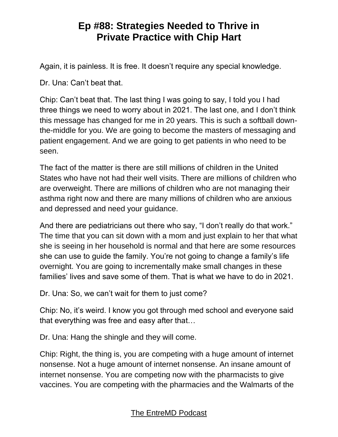Again, it is painless. It is free. It doesn't require any special knowledge.

Dr. Una: Can't beat that.

Chip: Can't beat that. The last thing I was going to say, I told you I had three things we need to worry about in 2021. The last one, and I don't think this message has changed for me in 20 years. This is such a softball downthe-middle for you. We are going to become the masters of messaging and patient engagement. And we are going to get patients in who need to be seen.

The fact of the matter is there are still millions of children in the United States who have not had their well visits. There are millions of children who are overweight. There are millions of children who are not managing their asthma right now and there are many millions of children who are anxious and depressed and need your guidance.

And there are pediatricians out there who say, "I don't really do that work." The time that you can sit down with a mom and just explain to her that what she is seeing in her household is normal and that here are some resources she can use to guide the family. You're not going to change a family's life overnight. You are going to incrementally make small changes in these families' lives and save some of them. That is what we have to do in 2021.

Dr. Una: So, we can't wait for them to just come?

Chip: No, it's weird. I know you got through med school and everyone said that everything was free and easy after that…

Dr. Una: Hang the shingle and they will come.

Chip: Right, the thing is, you are competing with a huge amount of internet nonsense. Not a huge amount of internet nonsense. An insane amount of internet nonsense. You are competing now with the pharmacists to give vaccines. You are competing with the pharmacies and the Walmarts of the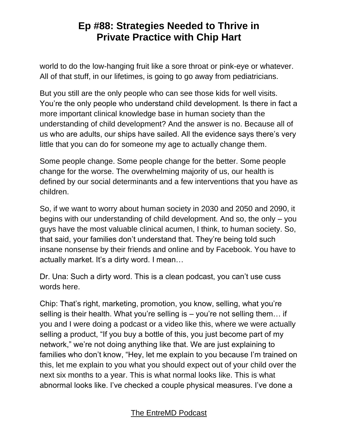world to do the low-hanging fruit like a sore throat or pink-eye or whatever. All of that stuff, in our lifetimes, is going to go away from pediatricians.

But you still are the only people who can see those kids for well visits. You're the only people who understand child development. Is there in fact a more important clinical knowledge base in human society than the understanding of child development? And the answer is no. Because all of us who are adults, our ships have sailed. All the evidence says there's very little that you can do for someone my age to actually change them.

Some people change. Some people change for the better. Some people change for the worse. The overwhelming majority of us, our health is defined by our social determinants and a few interventions that you have as children.

So, if we want to worry about human society in 2030 and 2050 and 2090, it begins with our understanding of child development. And so, the only – you guys have the most valuable clinical acumen, I think, to human society. So, that said, your families don't understand that. They're being told such insane nonsense by their friends and online and by Facebook. You have to actually market. It's a dirty word. I mean…

Dr. Una: Such a dirty word. This is a clean podcast, you can't use cuss words here.

Chip: That's right, marketing, promotion, you know, selling, what you're selling is their health. What you're selling is – you're not selling them… if you and I were doing a podcast or a video like this, where we were actually selling a product, "If you buy a bottle of this, you just become part of my network," we're not doing anything like that. We are just explaining to families who don't know, "Hey, let me explain to you because I'm trained on this, let me explain to you what you should expect out of your child over the next six months to a year. This is what normal looks like. This is what abnormal looks like. I've checked a couple physical measures. I've done a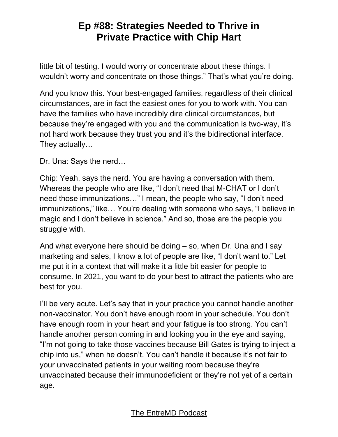little bit of testing. I would worry or concentrate about these things. I wouldn't worry and concentrate on those things." That's what you're doing.

And you know this. Your best-engaged families, regardless of their clinical circumstances, are in fact the easiest ones for you to work with. You can have the families who have incredibly dire clinical circumstances, but because they're engaged with you and the communication is two-way, it's not hard work because they trust you and it's the bidirectional interface. They actually…

Dr. Una: Says the nerd…

Chip: Yeah, says the nerd. You are having a conversation with them. Whereas the people who are like, "I don't need that M-CHAT or I don't need those immunizations…" I mean, the people who say, "I don't need immunizations," like… You're dealing with someone who says, "I believe in magic and I don't believe in science." And so, those are the people you struggle with.

And what everyone here should be doing – so, when Dr. Una and I say marketing and sales, I know a lot of people are like, "I don't want to." Let me put it in a context that will make it a little bit easier for people to consume. In 2021, you want to do your best to attract the patients who are best for you.

I'll be very acute. Let's say that in your practice you cannot handle another non-vaccinator. You don't have enough room in your schedule. You don't have enough room in your heart and your fatigue is too strong. You can't handle another person coming in and looking you in the eye and saying, "I'm not going to take those vaccines because Bill Gates is trying to inject a chip into us," when he doesn't. You can't handle it because it's not fair to your unvaccinated patients in your waiting room because they're unvaccinated because their immunodeficient or they're not yet of a certain age.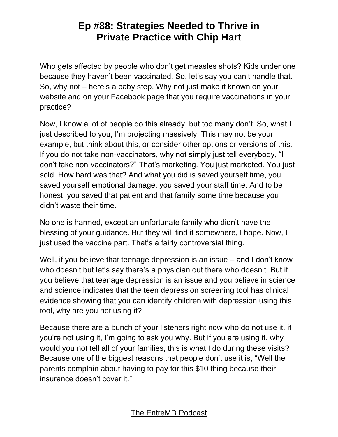Who gets affected by people who don't get measles shots? Kids under one because they haven't been vaccinated. So, let's say you can't handle that. So, why not – here's a baby step. Why not just make it known on your website and on your Facebook page that you require vaccinations in your practice?

Now, I know a lot of people do this already, but too many don't. So, what I just described to you, I'm projecting massively. This may not be your example, but think about this, or consider other options or versions of this. If you do not take non-vaccinators, why not simply just tell everybody, "I don't take non-vaccinators?" That's marketing. You just marketed. You just sold. How hard was that? And what you did is saved yourself time, you saved yourself emotional damage, you saved your staff time. And to be honest, you saved that patient and that family some time because you didn't waste their time.

No one is harmed, except an unfortunate family who didn't have the blessing of your guidance. But they will find it somewhere, I hope. Now, I just used the vaccine part. That's a fairly controversial thing.

Well, if you believe that teenage depression is an issue – and I don't know who doesn't but let's say there's a physician out there who doesn't. But if you believe that teenage depression is an issue and you believe in science and science indicates that the teen depression screening tool has clinical evidence showing that you can identify children with depression using this tool, why are you not using it?

Because there are a bunch of your listeners right now who do not use it. if you're not using it, I'm going to ask you why. But if you are using it, why would you not tell all of your families, this is what I do during these visits? Because one of the biggest reasons that people don't use it is, "Well the parents complain about having to pay for this \$10 thing because their insurance doesn't cover it."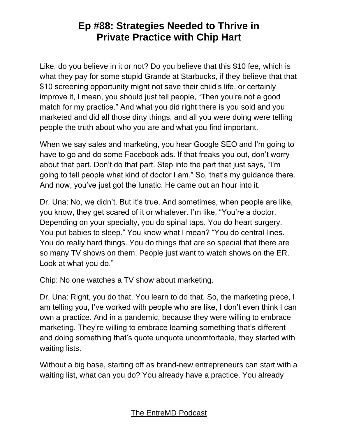Like, do you believe in it or not? Do you believe that this \$10 fee, which is what they pay for some stupid Grande at Starbucks, if they believe that that \$10 screening opportunity might not save their child's life, or certainly improve it, I mean, you should just tell people, "Then you're not a good match for my practice." And what you did right there is you sold and you marketed and did all those dirty things, and all you were doing were telling people the truth about who you are and what you find important.

When we say sales and marketing, you hear Google SEO and I'm going to have to go and do some Facebook ads. If that freaks you out, don't worry about that part. Don't do that part. Step into the part that just says, "I'm going to tell people what kind of doctor I am." So, that's my guidance there. And now, you've just got the lunatic. He came out an hour into it.

Dr. Una: No, we didn't. But it's true. And sometimes, when people are like, you know, they get scared of it or whatever. I'm like, "You're a doctor. Depending on your specialty, you do spinal taps. You do heart surgery. You put babies to sleep." You know what I mean? "You do central lines. You do really hard things. You do things that are so special that there are so many TV shows on them. People just want to watch shows on the ER. Look at what you do."

Chip: No one watches a TV show about marketing.

Dr. Una: Right, you do that. You learn to do that. So, the marketing piece, I am telling you, I've worked with people who are like, I don't even think I can own a practice. And in a pandemic, because they were willing to embrace marketing. They're willing to embrace learning something that's different and doing something that's quote unquote uncomfortable, they started with waiting lists.

Without a big base, starting off as brand-new entrepreneurs can start with a waiting list, what can you do? You already have a practice. You already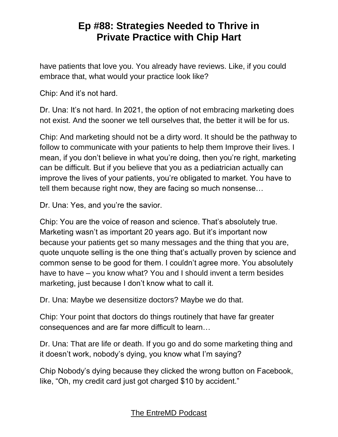have patients that love you. You already have reviews. Like, if you could embrace that, what would your practice look like?

Chip: And it's not hard.

Dr. Una: It's not hard. In 2021, the option of not embracing marketing does not exist. And the sooner we tell ourselves that, the better it will be for us.

Chip: And marketing should not be a dirty word. It should be the pathway to follow to communicate with your patients to help them Improve their lives. I mean, if you don't believe in what you're doing, then you're right, marketing can be difficult. But if you believe that you as a pediatrician actually can improve the lives of your patients, you're obligated to market. You have to tell them because right now, they are facing so much nonsense…

Dr. Una: Yes, and you're the savior.

Chip: You are the voice of reason and science. That's absolutely true. Marketing wasn't as important 20 years ago. But it's important now because your patients get so many messages and the thing that you are, quote unquote selling is the one thing that's actually proven by science and common sense to be good for them. I couldn't agree more. You absolutely have to have – you know what? You and I should invent a term besides marketing, just because I don't know what to call it.

Dr. Una: Maybe we desensitize doctors? Maybe we do that.

Chip: Your point that doctors do things routinely that have far greater consequences and are far more difficult to learn…

Dr. Una: That are life or death. If you go and do some marketing thing and it doesn't work, nobody's dying, you know what I'm saying?

Chip Nobody's dying because they clicked the wrong button on Facebook, like, "Oh, my credit card just got charged \$10 by accident."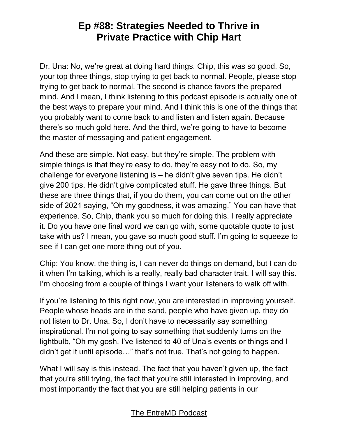Dr. Una: No, we're great at doing hard things. Chip, this was so good. So, your top three things, stop trying to get back to normal. People, please stop trying to get back to normal. The second is chance favors the prepared mind. And I mean, I think listening to this podcast episode is actually one of the best ways to prepare your mind. And I think this is one of the things that you probably want to come back to and listen and listen again. Because there's so much gold here. And the third, we're going to have to become the master of messaging and patient engagement.

And these are simple. Not easy, but they're simple. The problem with simple things is that they're easy to do, they're easy not to do. So, my challenge for everyone listening is – he didn't give seven tips. He didn't give 200 tips. He didn't give complicated stuff. He gave three things. But these are three things that, if you do them, you can come out on the other side of 2021 saying, "Oh my goodness, it was amazing." You can have that experience. So, Chip, thank you so much for doing this. I really appreciate it. Do you have one final word we can go with, some quotable quote to just take with us? I mean, you gave so much good stuff. I'm going to squeeze to see if I can get one more thing out of you.

Chip: You know, the thing is, I can never do things on demand, but I can do it when I'm talking, which is a really, really bad character trait. I will say this. I'm choosing from a couple of things I want your listeners to walk off with.

If you're listening to this right now, you are interested in improving yourself. People whose heads are in the sand, people who have given up, they do not listen to Dr. Una. So, I don't have to necessarily say something inspirational. I'm not going to say something that suddenly turns on the lightbulb, "Oh my gosh, I've listened to 40 of Una's events or things and I didn't get it until episode…" that's not true. That's not going to happen.

What I will say is this instead. The fact that you haven't given up, the fact that you're still trying, the fact that you're still interested in improving, and most importantly the fact that you are still helping patients in our